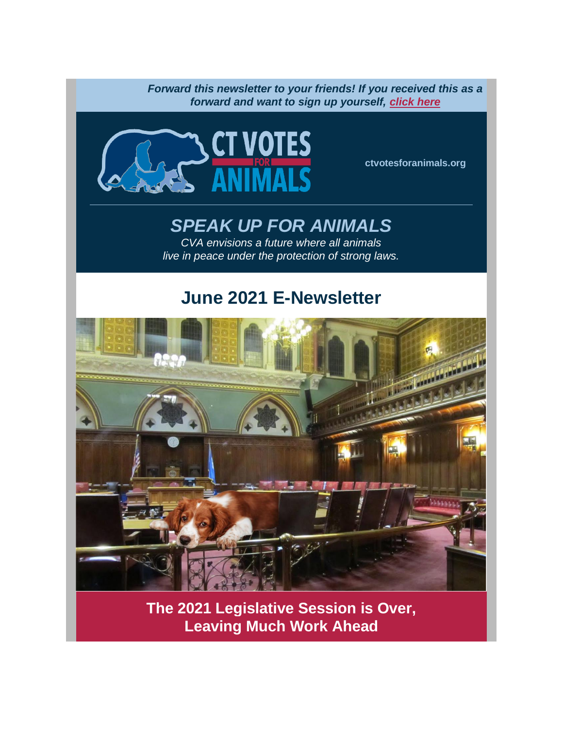*Forward this newsletter to your friends! If you received this as a forward and want to sign up yourself, [click here](https://click.everyaction.com/k/31376179/292462267/-1734676678?nvep=ew0KICAiVGVuYW50VXJpIjogIm5ncHZhbjovL3Zhbi9FQS9FQTAwNy8xLzg3MzIxIiwNCiAgIkRpc3RyaWJ1dGlvblVuaXF1ZUlkIjogIjg5MWM3M2E4LWJkZDUtZWIxMS1hN2FkLTUwMWFjNTdiOGZhNyIsDQogICJFbWFpbEFkZHJlc3MiOiAiaWxlbmUubGVmbGFuZEBnbWFpbC5jb20iDQp9&hmac=gipnYbyEcQRgHz9krYPxBYQjjmlQYaSDrjMV1Ubzr48=&emci=25b1e342-0ace-eb11-a7ad-501ac57b8fa7&emdi=891c73a8-bdd5-eb11-a7ad-501ac57b8fa7&ceid=11641848)*



**[ctvotesforanimals.org](https://click.everyaction.com/k/31376183/292462268/-40701799?nvep=ew0KICAiVGVuYW50VXJpIjogIm5ncHZhbjovL3Zhbi9FQS9FQTAwNy8xLzg3MzIxIiwNCiAgIkRpc3RyaWJ1dGlvblVuaXF1ZUlkIjogIjg5MWM3M2E4LWJkZDUtZWIxMS1hN2FkLTUwMWFjNTdiOGZhNyIsDQogICJFbWFpbEFkZHJlc3MiOiAiaWxlbmUubGVmbGFuZEBnbWFpbC5jb20iDQp9&hmac=gipnYbyEcQRgHz9krYPxBYQjjmlQYaSDrjMV1Ubzr48=&emci=25b1e342-0ace-eb11-a7ad-501ac57b8fa7&emdi=891c73a8-bdd5-eb11-a7ad-501ac57b8fa7&ceid=11641848)**

# *SPEAK UP FOR ANIMALS*

*CVA envisions a future where all animals live in peace under the protection of strong laws.*

# **June 2021 E-Newsletter**



**The 2021 Legislative Session is Over, Leaving Much Work Ahead**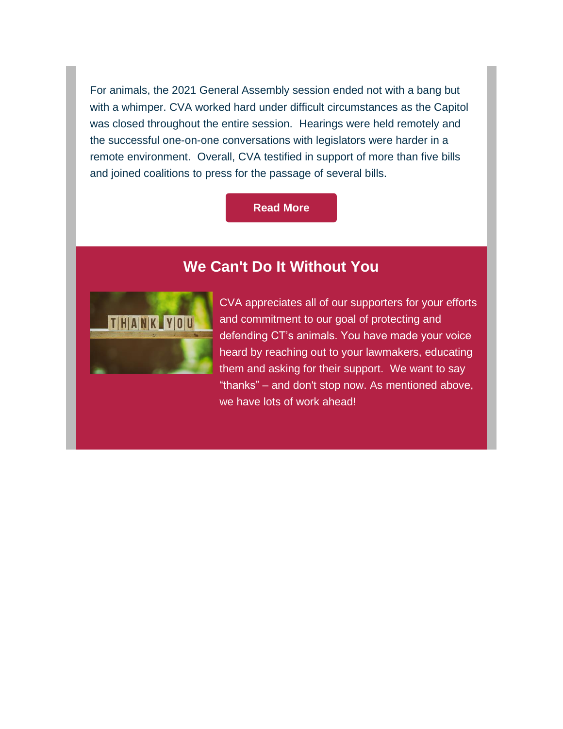For animals, the 2021 General Assembly session ended not with a bang but with a whimper. CVA worked hard under difficult circumstances as the Capitol was closed throughout the entire session. Hearings were held remotely and the successful one-on-one conversations with legislators were harder in a remote environment. Overall, CVA testified in support of more than five bills and joined coalitions to press for the passage of several bills.

#### **[Read](https://www.ctvotesforanimals.org/copy-of-june-21-legislative-update) More**

### **We Can't Do It Without You**



CVA appreciates all of our supporters for your efforts and commitment to our goal of protecting and defending CT's animals. You have made your voice heard by reaching out to your lawmakers, educating them and asking for their support. We want to say "thanks" – and don't stop now. As mentioned above, we have lots of work ahead!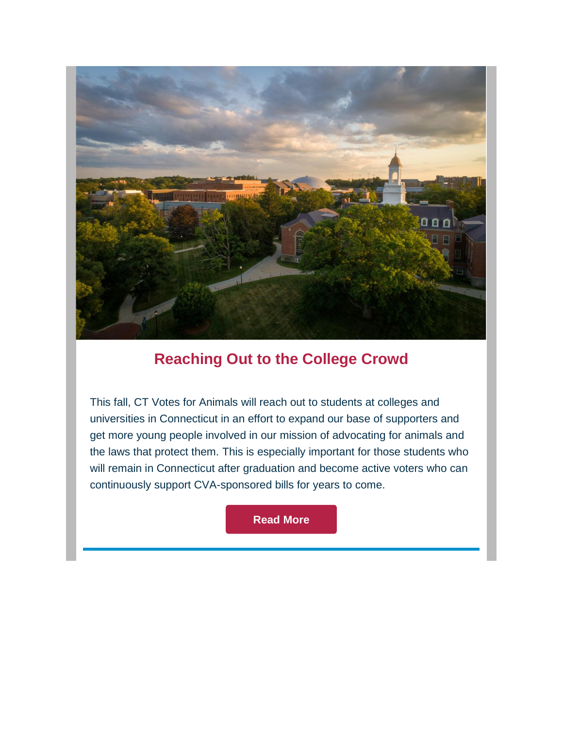

## **Reaching Out to the College Crowd**

This fall, CT Votes for Animals will reach out to students at colleges and universities in Connecticut in an effort to expand our base of supporters and get more young people involved in our mission of advocating for animals and the laws that protect them. This is especially important for those students who will remain in Connecticut after graduation and become active voters who can continuously support CVA-sponsored bills for years to come.

**[Read](https://www.ctvotesforanimals.org/copy-of-june-21-thanks-2) More**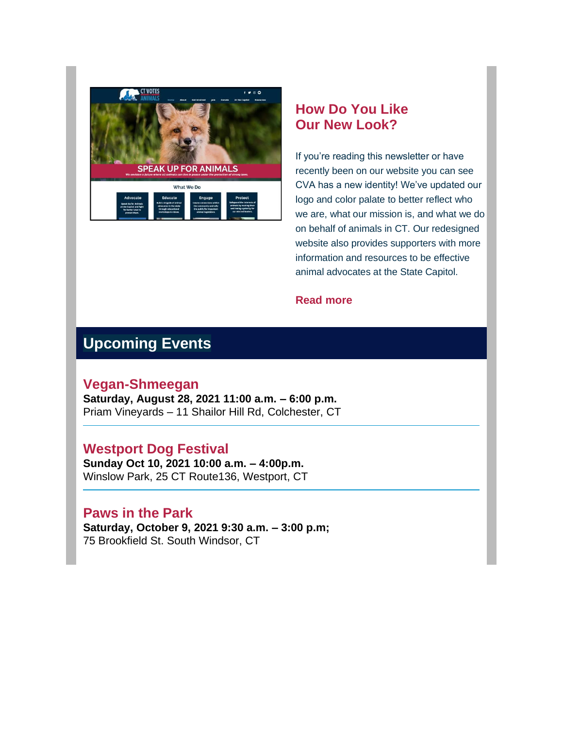

### **How Do You Like Our New Look?**

If you're reading this newsletter or have recently been on our website you can see CVA has a new identity! We've updated our logo and color palate to better reflect who we are, what our mission is, and what we do on behalf of animals in CT. Our redesigned website also provides supporters with more information and resources to be effective animal advocates at the State Capitol.

#### **[Read more](https://click.everyaction.com/k/31376189/292462278/-1328101509?nvep=ew0KICAiVGVuYW50VXJpIjogIm5ncHZhbjovL3Zhbi9FQS9FQTAwNy8xLzg3MzIxIiwNCiAgIkRpc3RyaWJ1dGlvblVuaXF1ZUlkIjogIjg5MWM3M2E4LWJkZDUtZWIxMS1hN2FkLTUwMWFjNTdiOGZhNyIsDQogICJFbWFpbEFkZHJlc3MiOiAiaWxlbmUubGVmbGFuZEBnbWFpbC5jb20iDQp9&hmac=gipnYbyEcQRgHz9krYPxBYQjjmlQYaSDrjMV1Ubzr48=&emci=25b1e342-0ace-eb11-a7ad-501ac57b8fa7&emdi=891c73a8-bdd5-eb11-a7ad-501ac57b8fa7&ceid=11641848)**

## **Upcoming Events**

#### **Vegan-Shmeegan**

**Saturday, August 28, 2021 11:00 a.m. – 6:00 p.m.** Priam Vineyards – 11 Shailor Hill Rd, Colchester, CT

### **Westport Dog Festival**

**Sunday Oct 10, 2021 10:00 a.m. – 4:00p.m.** Winslow Park, 25 CT Route136, Westport, CT

### **Paws in the Park**

**Saturday, October 9, 2021 9:30 a.m. – 3:00 p.m;** 75 Brookfield St. South Windsor, CT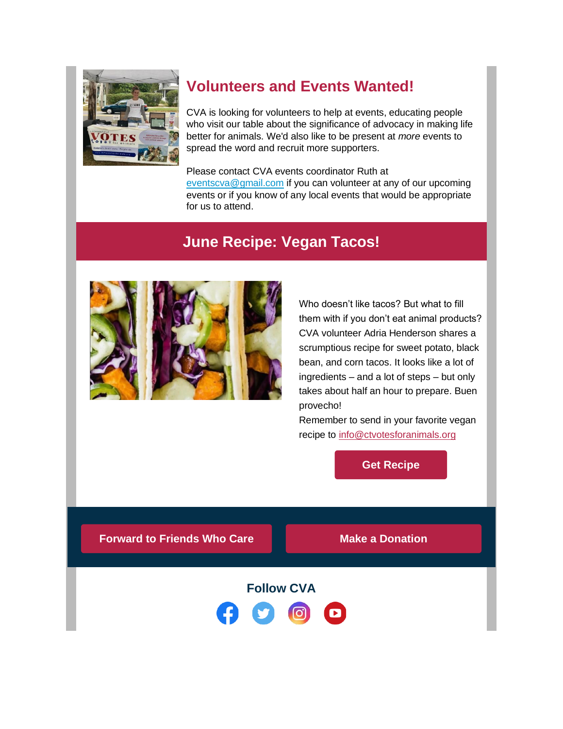

## **Volunteers and Events Wanted!**

CVA is looking for volunteers to help at events, educating people who visit our table about the significance of advocacy in making life better for animals. We'd also like to be present at *more* events to spread the word and recruit more supporters.

Please contact CVA events coordinator Ruth at [eventscva@gmail.com](mailto:eventscva@gmail.com) if you can volunteer at any of our upcoming events or if you know of any local events that would be appropriate for us to attend.

## **June Recipe: Vegan Tacos!**



Who doesn't like tacos? But what to fill them with if you don't eat animal products? CVA volunteer Adria Henderson shares a scrumptious recipe for sweet potato, black bean, and corn tacos. It looks like a lot of ingredients – and a lot of steps – but only takes about half an hour to prepare. Buen provecho!

Remember to send in your favorite vegan recipe to [info@ctvotesforanimals.org](mailto:info@ctvotesforanimals.org)

**Get [Recipe](https://www.ctvotesforanimals.org/copy-of-june-21-recipe-1)**

**Forward to Friends Who Care Make a [Donation](https://www.ctvotesforanimals.org/donate)**